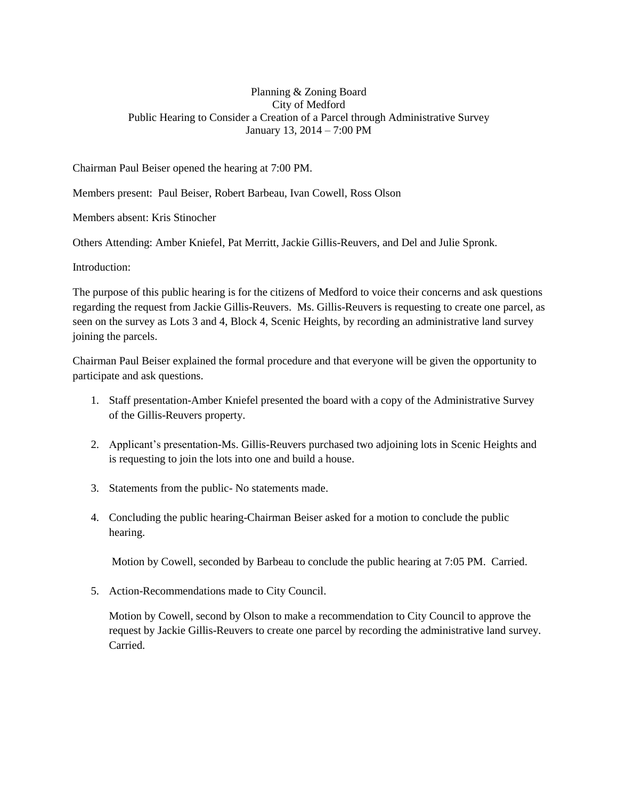## Planning & Zoning Board City of Medford Public Hearing to Consider a Creation of a Parcel through Administrative Survey January 13, 2014 – 7:00 PM

Chairman Paul Beiser opened the hearing at 7:00 PM.

Members present: Paul Beiser, Robert Barbeau, Ivan Cowell, Ross Olson

Members absent: Kris Stinocher

Others Attending: Amber Kniefel, Pat Merritt, Jackie Gillis-Reuvers, and Del and Julie Spronk.

Introduction:

The purpose of this public hearing is for the citizens of Medford to voice their concerns and ask questions regarding the request from Jackie Gillis-Reuvers. Ms. Gillis-Reuvers is requesting to create one parcel, as seen on the survey as Lots 3 and 4, Block 4, Scenic Heights, by recording an administrative land survey joining the parcels.

Chairman Paul Beiser explained the formal procedure and that everyone will be given the opportunity to participate and ask questions.

- 1. Staff presentation-Amber Kniefel presented the board with a copy of the Administrative Survey of the Gillis-Reuvers property.
- 2. Applicant's presentation-Ms. Gillis-Reuvers purchased two adjoining lots in Scenic Heights and is requesting to join the lots into one and build a house.
- 3. Statements from the public- No statements made.
- 4. Concluding the public hearing-Chairman Beiser asked for a motion to conclude the public hearing.

Motion by Cowell, seconded by Barbeau to conclude the public hearing at 7:05 PM. Carried.

5. Action-Recommendations made to City Council.

Motion by Cowell, second by Olson to make a recommendation to City Council to approve the request by Jackie Gillis-Reuvers to create one parcel by recording the administrative land survey. Carried.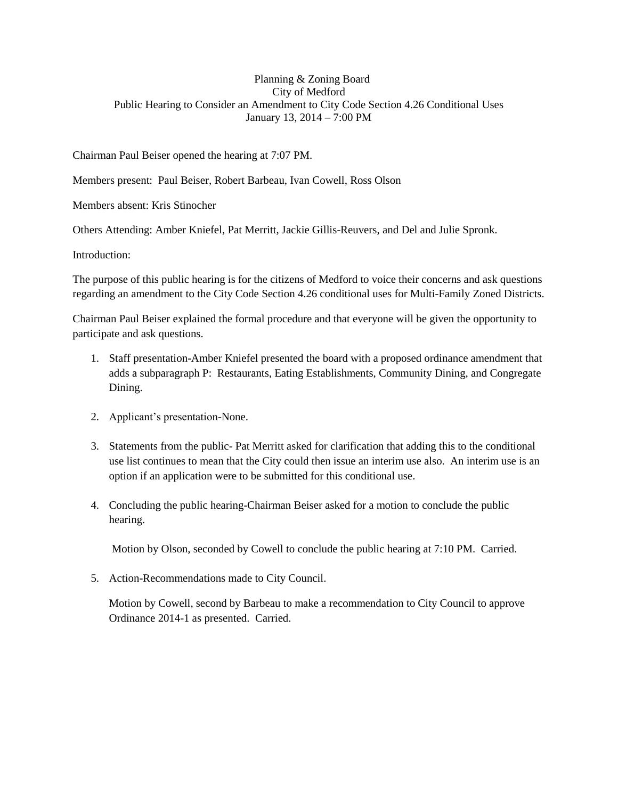## Planning & Zoning Board City of Medford Public Hearing to Consider an Amendment to City Code Section 4.26 Conditional Uses January 13, 2014 – 7:00 PM

Chairman Paul Beiser opened the hearing at 7:07 PM.

Members present: Paul Beiser, Robert Barbeau, Ivan Cowell, Ross Olson

Members absent: Kris Stinocher

Others Attending: Amber Kniefel, Pat Merritt, Jackie Gillis-Reuvers, and Del and Julie Spronk.

Introduction:

The purpose of this public hearing is for the citizens of Medford to voice their concerns and ask questions regarding an amendment to the City Code Section 4.26 conditional uses for Multi-Family Zoned Districts.

Chairman Paul Beiser explained the formal procedure and that everyone will be given the opportunity to participate and ask questions.

- 1. Staff presentation-Amber Kniefel presented the board with a proposed ordinance amendment that adds a subparagraph P: Restaurants, Eating Establishments, Community Dining, and Congregate Dining.
- 2. Applicant's presentation-None.
- 3. Statements from the public- Pat Merritt asked for clarification that adding this to the conditional use list continues to mean that the City could then issue an interim use also. An interim use is an option if an application were to be submitted for this conditional use.
- 4. Concluding the public hearing-Chairman Beiser asked for a motion to conclude the public hearing.

Motion by Olson, seconded by Cowell to conclude the public hearing at 7:10 PM. Carried.

5. Action-Recommendations made to City Council.

Motion by Cowell, second by Barbeau to make a recommendation to City Council to approve Ordinance 2014-1 as presented. Carried.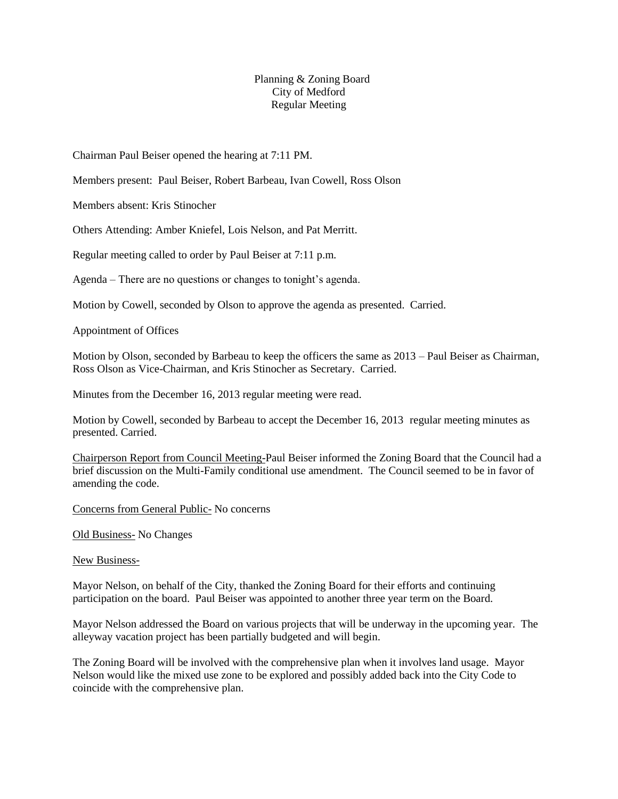## Planning & Zoning Board City of Medford Regular Meeting

Chairman Paul Beiser opened the hearing at 7:11 PM.

Members present: Paul Beiser, Robert Barbeau, Ivan Cowell, Ross Olson

Members absent: Kris Stinocher

Others Attending: Amber Kniefel, Lois Nelson, and Pat Merritt.

Regular meeting called to order by Paul Beiser at 7:11 p.m.

Agenda – There are no questions or changes to tonight's agenda.

Motion by Cowell, seconded by Olson to approve the agenda as presented. Carried.

Appointment of Offices

Motion by Olson, seconded by Barbeau to keep the officers the same as 2013 – Paul Beiser as Chairman, Ross Olson as Vice-Chairman, and Kris Stinocher as Secretary. Carried.

Minutes from the December 16, 2013 regular meeting were read.

Motion by Cowell, seconded by Barbeau to accept the December 16, 2013 regular meeting minutes as presented. Carried.

Chairperson Report from Council Meeting-Paul Beiser informed the Zoning Board that the Council had a brief discussion on the Multi-Family conditional use amendment. The Council seemed to be in favor of amending the code.

Concerns from General Public- No concerns

Old Business- No Changes

New Business-

Mayor Nelson, on behalf of the City, thanked the Zoning Board for their efforts and continuing participation on the board. Paul Beiser was appointed to another three year term on the Board.

Mayor Nelson addressed the Board on various projects that will be underway in the upcoming year. The alleyway vacation project has been partially budgeted and will begin.

The Zoning Board will be involved with the comprehensive plan when it involves land usage. Mayor Nelson would like the mixed use zone to be explored and possibly added back into the City Code to coincide with the comprehensive plan.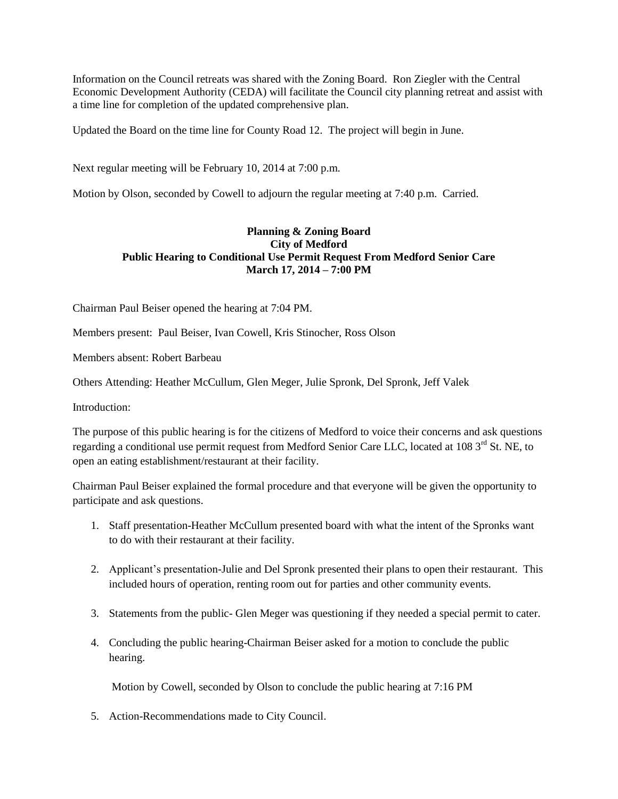Information on the Council retreats was shared with the Zoning Board. Ron Ziegler with the Central Economic Development Authority (CEDA) will facilitate the Council city planning retreat and assist with a time line for completion of the updated comprehensive plan.

Updated the Board on the time line for County Road 12. The project will begin in June.

Next regular meeting will be February 10, 2014 at 7:00 p.m.

Motion by Olson, seconded by Cowell to adjourn the regular meeting at 7:40 p.m. Carried.

# **Planning & Zoning Board City of Medford Public Hearing to Conditional Use Permit Request From Medford Senior Care March 17, 2014 – 7:00 PM**

Chairman Paul Beiser opened the hearing at 7:04 PM.

Members present: Paul Beiser, Ivan Cowell, Kris Stinocher, Ross Olson

Members absent: Robert Barbeau

Others Attending: Heather McCullum, Glen Meger, Julie Spronk, Del Spronk, Jeff Valek

Introduction:

The purpose of this public hearing is for the citizens of Medford to voice their concerns and ask questions regarding a conditional use permit request from Medford Senior Care LLC, located at 108 3<sup>rd</sup> St. NE, to open an eating establishment/restaurant at their facility.

Chairman Paul Beiser explained the formal procedure and that everyone will be given the opportunity to participate and ask questions.

- 1. Staff presentation-Heather McCullum presented board with what the intent of the Spronks want to do with their restaurant at their facility.
- 2. Applicant's presentation-Julie and Del Spronk presented their plans to open their restaurant. This included hours of operation, renting room out for parties and other community events.
- 3. Statements from the public- Glen Meger was questioning if they needed a special permit to cater.
- 4. Concluding the public hearing-Chairman Beiser asked for a motion to conclude the public hearing.

Motion by Cowell, seconded by Olson to conclude the public hearing at 7:16 PM

5. Action-Recommendations made to City Council.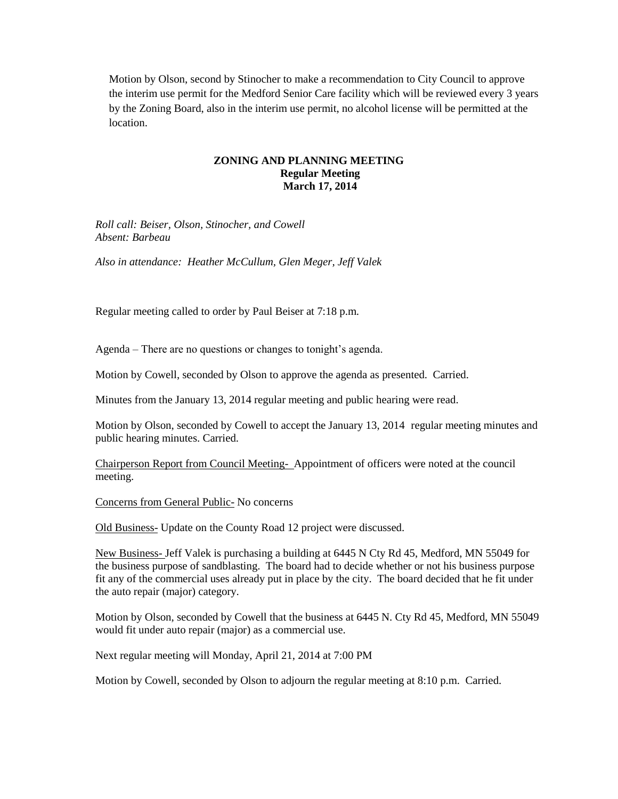Motion by Olson, second by Stinocher to make a recommendation to City Council to approve the interim use permit for the Medford Senior Care facility which will be reviewed every 3 years by the Zoning Board, also in the interim use permit, no alcohol license will be permitted at the location.

## **ZONING AND PLANNING MEETING Regular Meeting March 17, 2014**

*Roll call: Beiser, Olson, Stinocher, and Cowell Absent: Barbeau*

*Also in attendance: Heather McCullum, Glen Meger, Jeff Valek*

Regular meeting called to order by Paul Beiser at 7:18 p.m.

Agenda – There are no questions or changes to tonight's agenda.

Motion by Cowell, seconded by Olson to approve the agenda as presented. Carried.

Minutes from the January 13, 2014 regular meeting and public hearing were read.

Motion by Olson, seconded by Cowell to accept the January 13, 2014 regular meeting minutes and public hearing minutes. Carried.

Chairperson Report from Council Meeting- Appointment of officers were noted at the council meeting.

Concerns from General Public- No concerns

Old Business- Update on the County Road 12 project were discussed.

New Business- Jeff Valek is purchasing a building at 6445 N Cty Rd 45, Medford, MN 55049 for the business purpose of sandblasting. The board had to decide whether or not his business purpose fit any of the commercial uses already put in place by the city. The board decided that he fit under the auto repair (major) category.

Motion by Olson, seconded by Cowell that the business at 6445 N. Cty Rd 45, Medford, MN 55049 would fit under auto repair (major) as a commercial use.

Next regular meeting will Monday, April 21, 2014 at 7:00 PM

Motion by Cowell, seconded by Olson to adjourn the regular meeting at 8:10 p.m. Carried.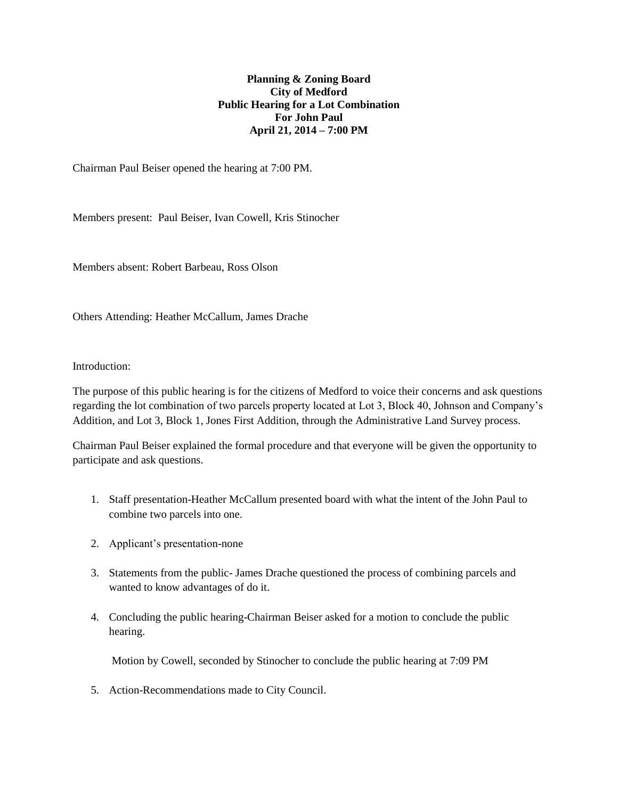## **Planning & Zoning Board City of Medford Public Hearing for a Lot Combination For John Paul April 21, 2014 – 7:00 PM**

Chairman Paul Beiser opened the hearing at 7:00 PM.

Members present: Paul Beiser, Ivan Cowell, Kris Stinocher

Members absent: Robert Barbeau, Ross Olson

Others Attending: Heather McCallum, James Drache

#### Introduction:

The purpose of this public hearing is for the citizens of Medford to voice their concerns and ask questions regarding the lot combination of two parcels property located at Lot 3, Block 40, Johnson and Company's Addition, and Lot 3, Block 1, Jones First Addition, through the Administrative Land Survey process.

Chairman Paul Beiser explained the formal procedure and that everyone will be given the opportunity to participate and ask questions.

- 1. Staff presentation-Heather McCallum presented board with what the intent of the John Paul to combine two parcels into one.
- 2. Applicant's presentation-none
- 3. Statements from the public- James Drache questioned the process of combining parcels and wanted to know advantages of do it.
- 4. Concluding the public hearing-Chairman Beiser asked for a motion to conclude the public hearing.

Motion by Cowell, seconded by Stinocher to conclude the public hearing at 7:09 PM

5. Action-Recommendations made to City Council.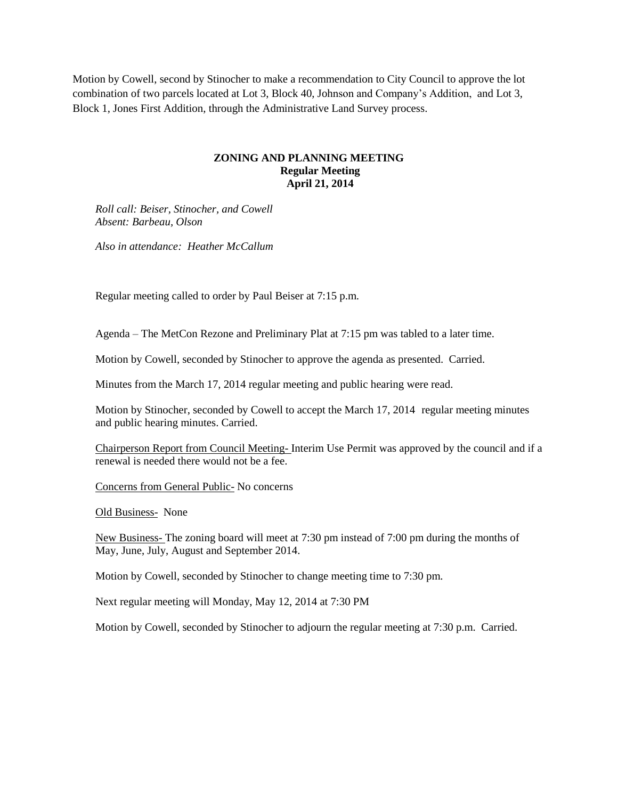Motion by Cowell, second by Stinocher to make a recommendation to City Council to approve the lot combination of two parcels located at Lot 3, Block 40, Johnson and Company's Addition, and Lot 3, Block 1, Jones First Addition, through the Administrative Land Survey process.

## **ZONING AND PLANNING MEETING Regular Meeting April 21, 2014**

*Roll call: Beiser, Stinocher, and Cowell Absent: Barbeau, Olson*

*Also in attendance: Heather McCallum*

Regular meeting called to order by Paul Beiser at 7:15 p.m.

Agenda – The MetCon Rezone and Preliminary Plat at 7:15 pm was tabled to a later time.

Motion by Cowell, seconded by Stinocher to approve the agenda as presented. Carried.

Minutes from the March 17, 2014 regular meeting and public hearing were read.

Motion by Stinocher, seconded by Cowell to accept the March 17, 2014 regular meeting minutes and public hearing minutes. Carried.

Chairperson Report from Council Meeting- Interim Use Permit was approved by the council and if a renewal is needed there would not be a fee.

Concerns from General Public- No concerns

Old Business- None

New Business- The zoning board will meet at 7:30 pm instead of 7:00 pm during the months of May, June, July, August and September 2014.

Motion by Cowell, seconded by Stinocher to change meeting time to 7:30 pm.

Next regular meeting will Monday, May 12, 2014 at 7:30 PM

Motion by Cowell, seconded by Stinocher to adjourn the regular meeting at 7:30 p.m. Carried.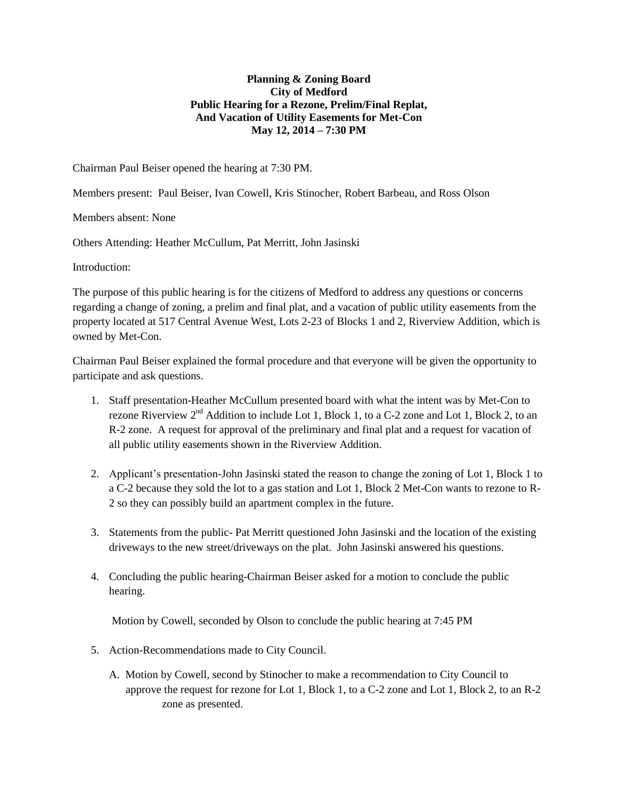## **Planning & Zoning Board City of Medford Public Hearing for a Rezone, Prelim/Final Replat, And Vacation of Utility Easements for Met-Con May 12, 2014 – 7:30 PM**

Chairman Paul Beiser opened the hearing at 7:30 PM.

Members present: Paul Beiser, Ivan Cowell, Kris Stinocher, Robert Barbeau, and Ross Olson

Members absent: None

Others Attending: Heather McCullum, Pat Merritt, John Jasinski

Introduction:

The purpose of this public hearing is for the citizens of Medford to address any questions or concerns regarding a change of zoning, a prelim and final plat, and a vacation of public utility easements from the property located at 517 Central Avenue West, Lots 2-23 of Blocks 1 and 2, Riverview Addition, which is owned by Met-Con.

Chairman Paul Beiser explained the formal procedure and that everyone will be given the opportunity to participate and ask questions.

- 1. Staff presentation-Heather McCullum presented board with what the intent was by Met-Con to rezone Riverview  $2<sup>nd</sup>$  Addition to include Lot 1, Block 1, to a C-2 zone and Lot 1, Block 2, to an R-2 zone. A request for approval of the preliminary and final plat and a request for vacation of all public utility easements shown in the Riverview Addition.
- 2. Applicant's presentation-John Jasinski stated the reason to change the zoning of Lot 1, Block 1 to a C-2 because they sold the lot to a gas station and Lot 1, Block 2 Met-Con wants to rezone to R-2 so they can possibly build an apartment complex in the future.
- 3. Statements from the public- Pat Merritt questioned John Jasinski and the location of the existing driveways to the new street/driveways on the plat. John Jasinski answered his questions.
- 4. Concluding the public hearing-Chairman Beiser asked for a motion to conclude the public hearing.

Motion by Cowell, seconded by Olson to conclude the public hearing at 7:45 PM

- 5. Action-Recommendations made to City Council.
	- A. Motion by Cowell, second by Stinocher to make a recommendation to City Council to approve the request for rezone for Lot 1, Block 1, to a C-2 zone and Lot 1, Block 2, to an R-2 zone as presented.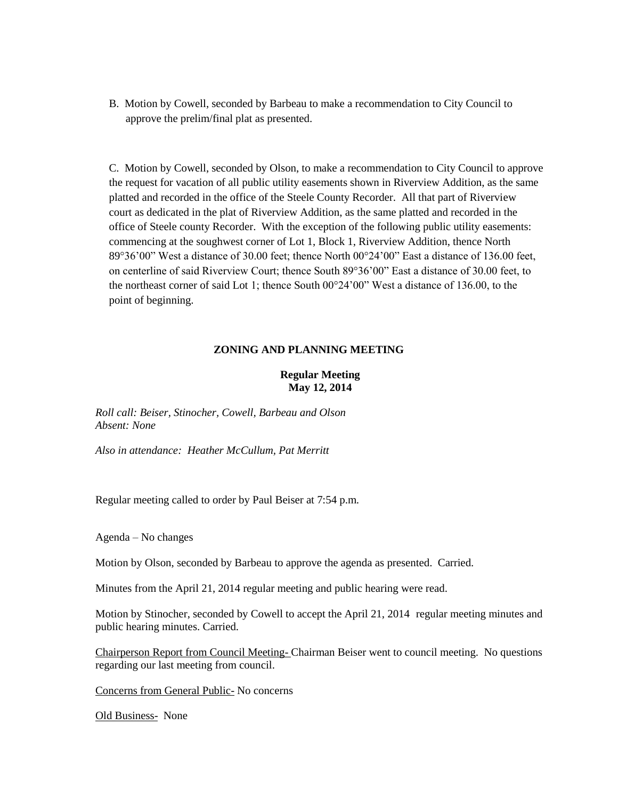B. Motion by Cowell, seconded by Barbeau to make a recommendation to City Council to approve the prelim/final plat as presented.

C. Motion by Cowell, seconded by Olson, to make a recommendation to City Council to approve the request for vacation of all public utility easements shown in Riverview Addition, as the same platted and recorded in the office of the Steele County Recorder. All that part of Riverview court as dedicated in the plat of Riverview Addition, as the same platted and recorded in the office of Steele county Recorder. With the exception of the following public utility easements: commencing at the soughwest corner of Lot 1, Block 1, Riverview Addition, thence North 89°36'00" West a distance of 30.00 feet; thence North 00°24'00" East a distance of 136.00 feet, on centerline of said Riverview Court; thence South 89°36'00" East a distance of 30.00 feet, to the northeast corner of said Lot 1; thence South 00°24'00" West a distance of 136.00, to the point of beginning.

## **ZONING AND PLANNING MEETING**

## **Regular Meeting May 12, 2014**

*Roll call: Beiser, Stinocher, Cowell, Barbeau and Olson Absent: None*

*Also in attendance: Heather McCullum, Pat Merritt*

Regular meeting called to order by Paul Beiser at 7:54 p.m.

Agenda – No changes

Motion by Olson, seconded by Barbeau to approve the agenda as presented. Carried.

Minutes from the April 21, 2014 regular meeting and public hearing were read.

Motion by Stinocher, seconded by Cowell to accept the April 21, 2014 regular meeting minutes and public hearing minutes. Carried.

Chairperson Report from Council Meeting- Chairman Beiser went to council meeting. No questions regarding our last meeting from council.

Concerns from General Public- No concerns

Old Business- None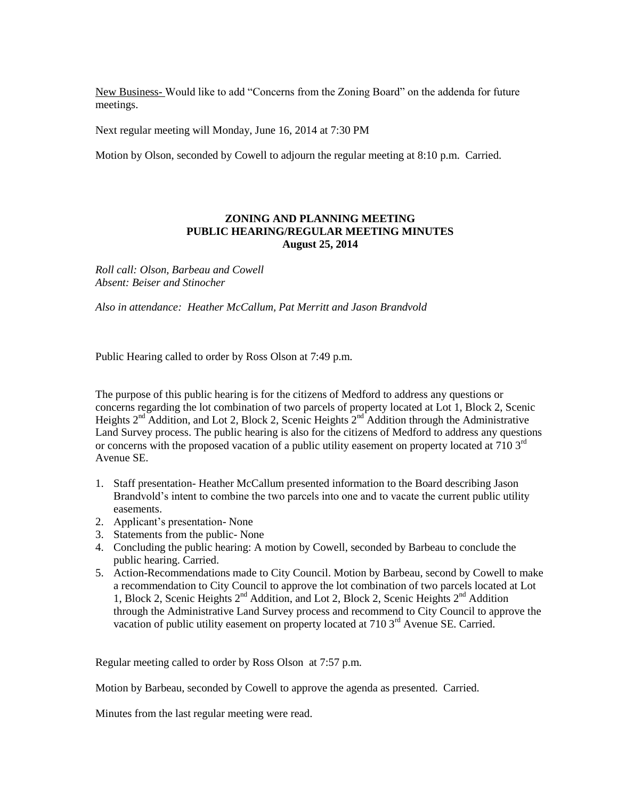New Business- Would like to add "Concerns from the Zoning Board" on the addenda for future meetings.

Next regular meeting will Monday, June 16, 2014 at 7:30 PM

Motion by Olson, seconded by Cowell to adjourn the regular meeting at 8:10 p.m. Carried.

#### **ZONING AND PLANNING MEETING PUBLIC HEARING/REGULAR MEETING MINUTES August 25, 2014**

*Roll call: Olson, Barbeau and Cowell Absent: Beiser and Stinocher*

*Also in attendance: Heather McCallum, Pat Merritt and Jason Brandvold*

Public Hearing called to order by Ross Olson at 7:49 p.m.

The purpose of this public hearing is for the citizens of Medford to address any questions or concerns regarding the lot combination of two parcels of property located at Lot 1, Block 2, Scenic Heights  $2<sup>nd</sup>$  Addition, and Lot 2, Block 2, Scenic Heights  $2<sup>nd</sup>$  Addition through the Administrative Land Survey process. The public hearing is also for the citizens of Medford to address any questions or concerns with the proposed vacation of a public utility easement on property located at 710 3rd Avenue SE.

- 1. Staff presentation- Heather McCallum presented information to the Board describing Jason Brandvold's intent to combine the two parcels into one and to vacate the current public utility easements.
- 2. Applicant's presentation- None
- 3. Statements from the public- None
- 4. Concluding the public hearing: A motion by Cowell, seconded by Barbeau to conclude the public hearing. Carried.
- 5. Action-Recommendations made to City Council. Motion by Barbeau, second by Cowell to make a recommendation to City Council to approve the lot combination of two parcels located at Lot 1, Block 2, Scenic Heights 2<sup>nd</sup> Addition, and Lot 2, Block 2, Scenic Heights 2<sup>nd</sup> Addition through the Administrative Land Survey process and recommend to City Council to approve the vacation of public utility easement on property located at 710 3<sup>rd</sup> Avenue SE. Carried.

Regular meeting called to order by Ross Olson at 7:57 p.m.

Motion by Barbeau, seconded by Cowell to approve the agenda as presented. Carried.

Minutes from the last regular meeting were read.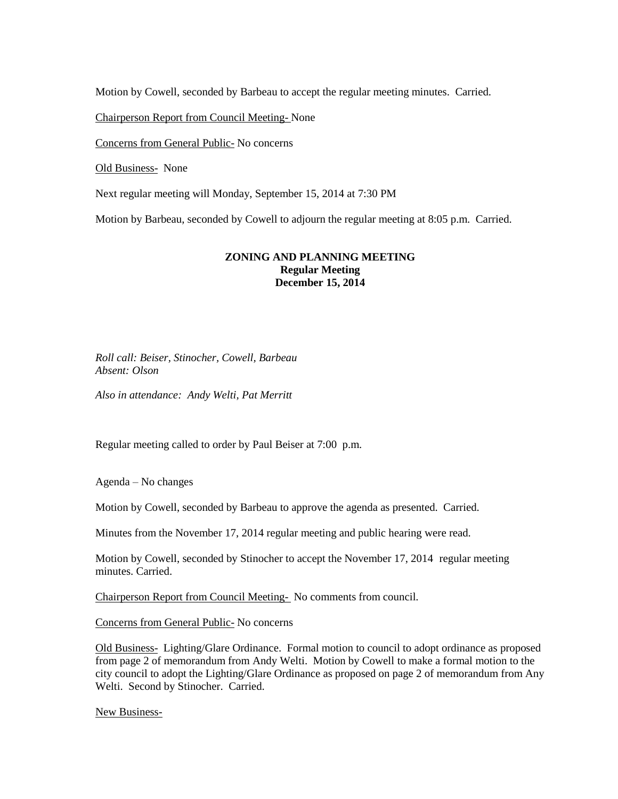Motion by Cowell, seconded by Barbeau to accept the regular meeting minutes. Carried.

Chairperson Report from Council Meeting- None

Concerns from General Public- No concerns

Old Business- None

Next regular meeting will Monday, September 15, 2014 at 7:30 PM

Motion by Barbeau, seconded by Cowell to adjourn the regular meeting at 8:05 p.m. Carried.

#### **ZONING AND PLANNING MEETING Regular Meeting December 15, 2014**

*Roll call: Beiser, Stinocher, Cowell, Barbeau Absent: Olson*

*Also in attendance: Andy Welti, Pat Merritt* 

Regular meeting called to order by Paul Beiser at 7:00 p.m.

Agenda – No changes

Motion by Cowell, seconded by Barbeau to approve the agenda as presented. Carried.

Minutes from the November 17, 2014 regular meeting and public hearing were read.

Motion by Cowell, seconded by Stinocher to accept the November 17, 2014 regular meeting minutes. Carried.

Chairperson Report from Council Meeting- No comments from council.

Concerns from General Public- No concerns

Old Business- Lighting/Glare Ordinance. Formal motion to council to adopt ordinance as proposed from page 2 of memorandum from Andy Welti. Motion by Cowell to make a formal motion to the city council to adopt the Lighting/Glare Ordinance as proposed on page 2 of memorandum from Any Welti. Second by Stinocher. Carried.

New Business-